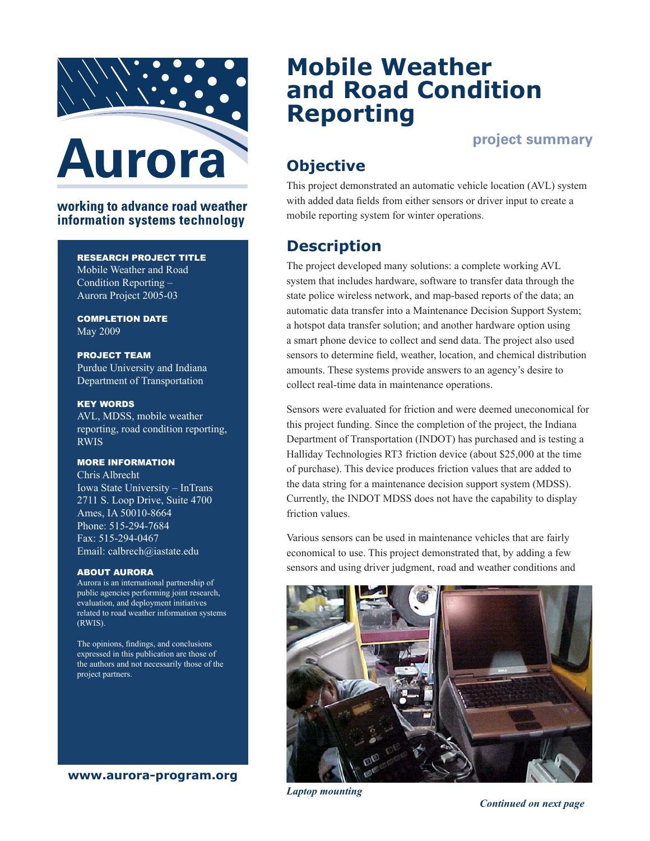

### working to advance road weather information systems technology

### RESEARCH PROJECT TITLE

Mobile Weather and Road Condition Reporting – Aurora Project 2005-03

COMPLETION DATE May 2009

PROJECT TEAM Purdue University and Indiana Department of Transportation

KEY WORDS

AVL, MDSS, mobile weather reporting, road condition reporting, RWIS

### MORE INFORMATION

Chris Albrecht Iowa State University – InTrans 2711 S. Loop Drive, Suite 4700 Ames, IA 50010-8664 Phone: 515-294-7684 Fax: 515-294-0467 Email: calbrech@iastate.edu

#### ABOUT AURORA

Aurora is an international partnership of public agencies performing joint research, evaluation, and deployment initiatives related to road weather information systems (RWIS).

The opinions, findings, and conclusions expressed in this publication are those of the authors and not necessarily those of the project partners.

**www.aurora-program.org**

# **Mobile Weather and Road Condition Reporting**

## **project summary**

# **Objective**

This project demonstrated an automatic vehicle location (AVL) system with added data fields from either sensors or driver input to create a mobile reporting system for winter operations.

## **Description**

The project developed many solutions: a complete working AVL system that includes hardware, software to transfer data through the state police wireless network, and map-based reports of the data; an automatic data transfer into a Maintenance Decision Support System; a hotspot data transfer solution; and another hardware option using a smart phone device to collect and send data. The project also used sensors to determine field, weather, location, and chemical distribution amounts. These systems provide answers to an agency's desire to collect real-time data in maintenance operations.

Sensors were evaluated for friction and were deemed uneconomical for this project funding. Since the completion of the project, the Indiana Department of Transportation (INDOT) has purchased and is testing a Halliday Technologies RT3 friction device (about \$25,000 at the time of purchase). This device produces friction values that are added to the data string for a maintenance decision support system (MDSS). Currently, the INDOT MDSS does not have the capability to display friction values.

Various sensors can be used in maintenance vehicles that are fairly economical to use. This project demonstrated that, by adding a few sensors and using driver judgment, road and weather conditions and



*Laptop mounting*

*Continued on next page*